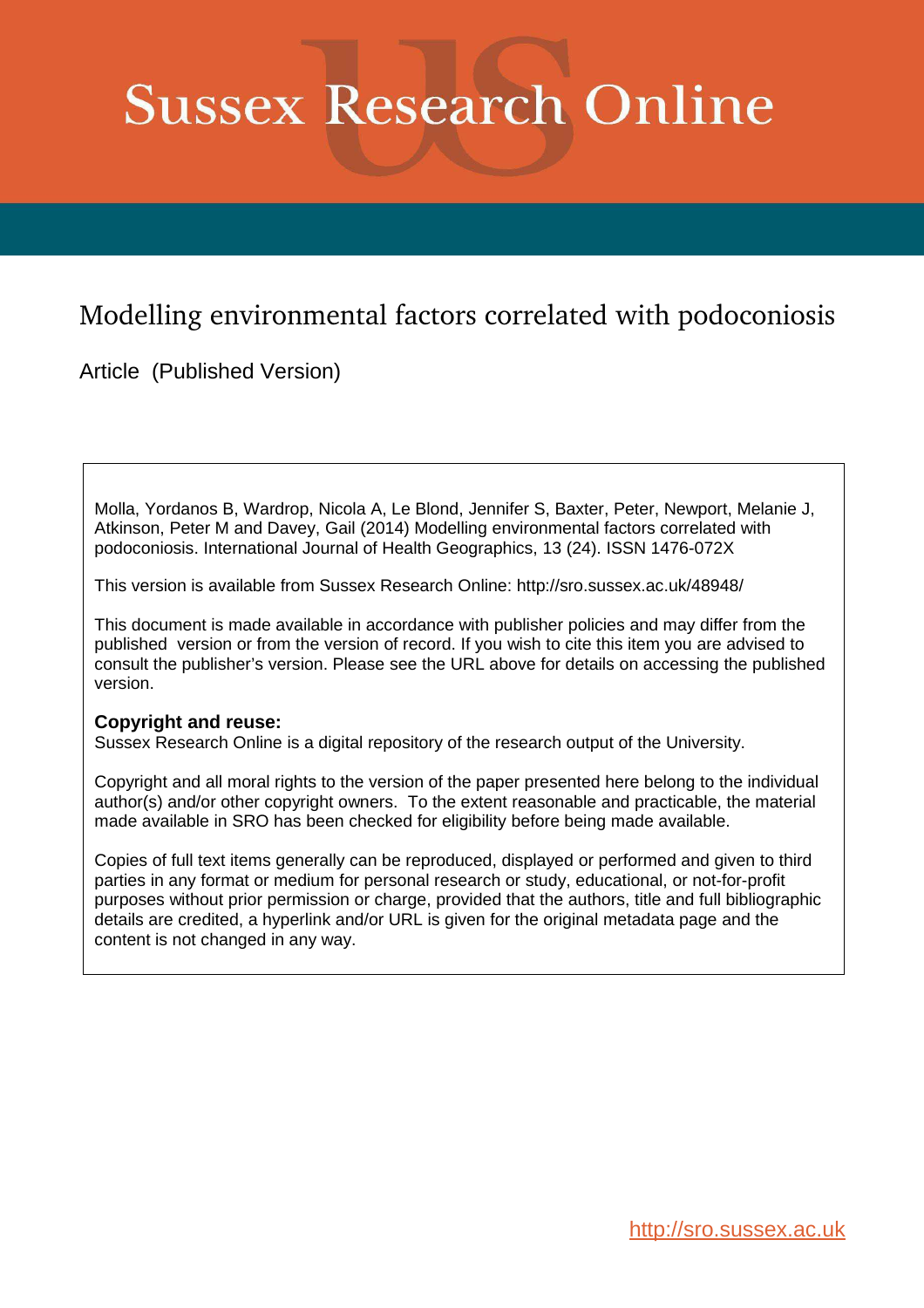# **Sussex Research Online**

# Modelling environmental factors correlated with podoconiosis

Article (Published Version)

Molla, Yordanos B, Wardrop, Nicola A, Le Blond, Jennifer S, Baxter, Peter, Newport, Melanie J, Atkinson, Peter M and Davey, Gail (2014) Modelling environmental factors correlated with podoconiosis. International Journal of Health Geographics, 13 (24). ISSN 1476-072X

This version is available from Sussex Research Online: http://sro.sussex.ac.uk/48948/

This document is made available in accordance with publisher policies and may differ from the published version or from the version of record. If you wish to cite this item you are advised to consult the publisher's version. Please see the URL above for details on accessing the published version.

# **Copyright and reuse:**

Sussex Research Online is a digital repository of the research output of the University.

Copyright and all moral rights to the version of the paper presented here belong to the individual author(s) and/or other copyright owners. To the extent reasonable and practicable, the material made available in SRO has been checked for eligibility before being made available.

Copies of full text items generally can be reproduced, displayed or performed and given to third parties in any format or medium for personal research or study, educational, or not-for-profit purposes without prior permission or charge, provided that the authors, title and full bibliographic details are credited, a hyperlink and/or URL is given for the original metadata page and the content is not changed in any way.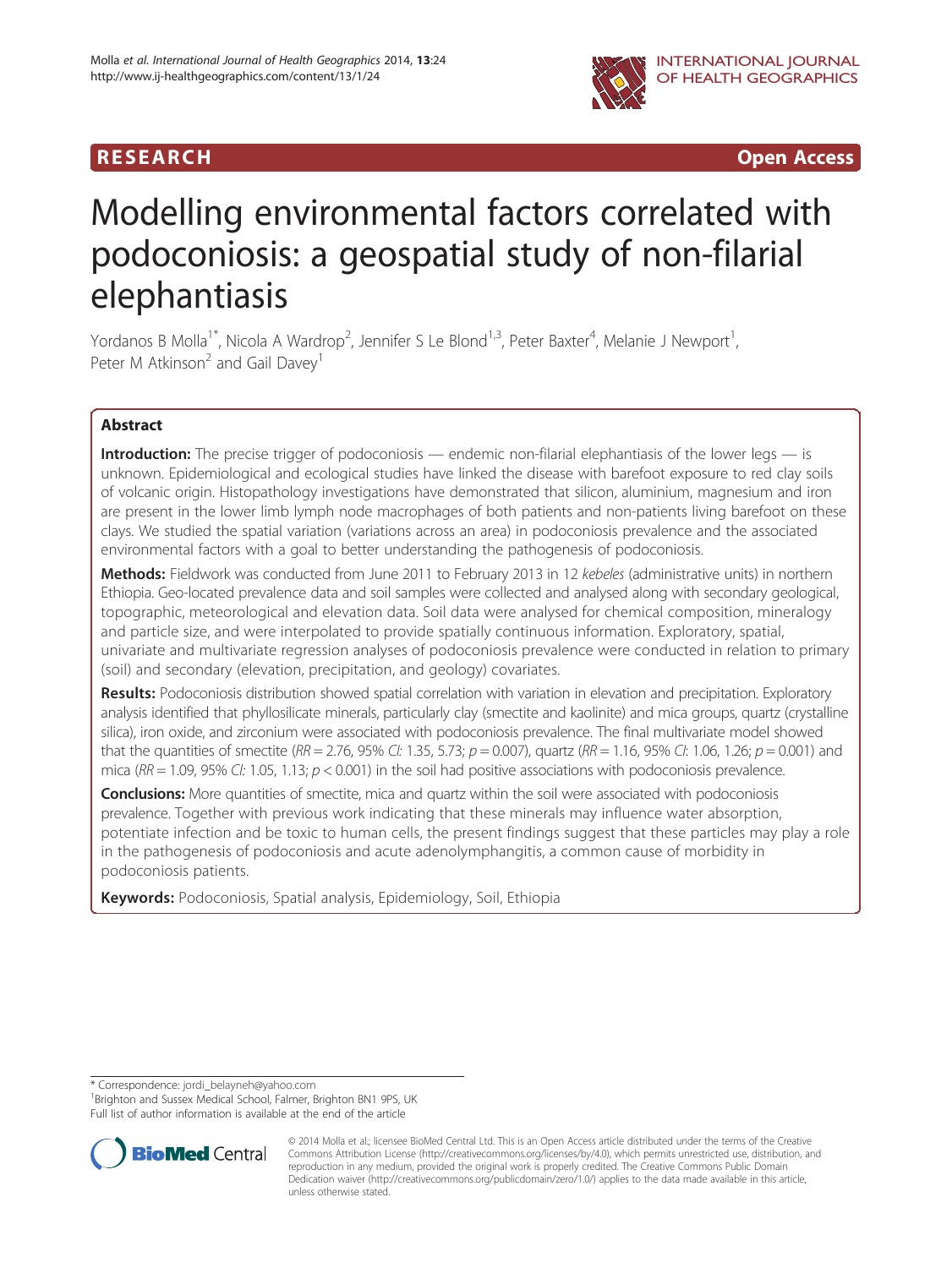# INTERNATIONAL JOURNAL OF HEALTH GEOGRAPHICS

# <span id="page-1-0"></span>R E S EAR CH Open Access

# Modelling environmental factors correlated with podoconiosis: a geospatial study of non-filarial elephantiasis

Yordanos B Molla<sup>1\*</sup>, Nicola A Wardrop<sup>2</sup>, Jennifer S Le Blond<sup>1,3</sup>, Peter Baxter<sup>4</sup>, Melanie J Newport<sup>1</sup> , Peter M Atkinson<sup>2</sup> and Gail Davey<sup>1</sup>

# Abstract

Introduction: The precise trigger of podoconiosis — endemic non-filarial elephantiasis of the lower legs — is unknown. Epidemiological and ecological studies have linked the disease with barefoot exposure to red clay soils of volcanic origin. Histopathology investigations have demonstrated that silicon, aluminium, magnesium and iron are present in the lower limb lymph node macrophages of both patients and non-patients living barefoot on these clays. We studied the spatial variation (variations across an area) in podoconiosis prevalence and the associated environmental factors with a goal to better understanding the pathogenesis of podoconiosis.

Methods: Fieldwork was conducted from June 2011 to February 2013 in 12 *kebeles* (administrative units) in northern Ethiopia. Geo-located prevalence data and soil samples were collected and analysed along with secondary geological, topographic, meteorological and elevation data. Soil data were analysed for chemical composition, mineralogy and particle size, and were interpolated to provide spatially continuous information. Exploratory, spatial, univariate and multivariate regression analyses of podoconiosis prevalence were conducted in relation to primary (soil) and secondary (elevation, precipitation, and geology) covariates.

Results: Podoconiosis distribution showed spatial correlation with variation in elevation and precipitation. Exploratory analysis identified that phyllosilicate minerals, particularly clay (smectite and kaolinite) and mica groups, quartz (crystalline silica), iron oxide, and zirconium were associated with podoconiosis prevalence. The final multivariate model showed that the quantities of smectite (*RR* = 2.76, 95% *CI:* 1.35, 5.73; *p* = 0.007), quartz (*RR* = 1.16, 95% *CI*: 1.06, 1.26; *p* = 0.001) and mica (*RR* = 1.09, 95% *CI:* 1.05, 1.13; *p* < 0.001) in the soil had positive associations with podoconiosis prevalence.

**Conclusions:** More quantities of smectite, mica and quartz within the soil were associated with podoconiosis prevalence. Together with previous work indicating that these minerals may influence water absorption, potentiate infection and be toxic to human cells, the present findings suggest that these particles may play a role in the pathogenesis of podoconiosis and acute adenolymphangitis, a common cause of morbidity in podoconiosis patients.

Keywords: Podoconiosis, Spatial analysis, Epidemiology, Soil, Ethiopia

\* Correspondence: [jordi\\_belayneh@yahoo.com](mailto:jordi_belayneh@yahoo.com)

<sup>1</sup> Brighton and Sussex Medical School, Falmer, Brighton BN1 9PS, UK Full list of author information is available at the end of the article



<sup>© 2014</sup> Molla et al.; licensee BioMed Central Ltd. This is an Open Access article distributed under the terms of the Creative Commons Attribution License [\(http://creativecommons.org/licenses/by/4.0\)](http://creativecommons.org/licenses/by/4.0), which permits unrestricted use, distribution, and reproduction in any medium, provided the original work is properly credited. The Creative Commons Public Domain Dedication waiver [\(http://creativecommons.org/publicdomain/zero/1.0/](http://creativecommons.org/publicdomain/zero/1.0/)) applies to the data made available in this article, unless otherwise stated.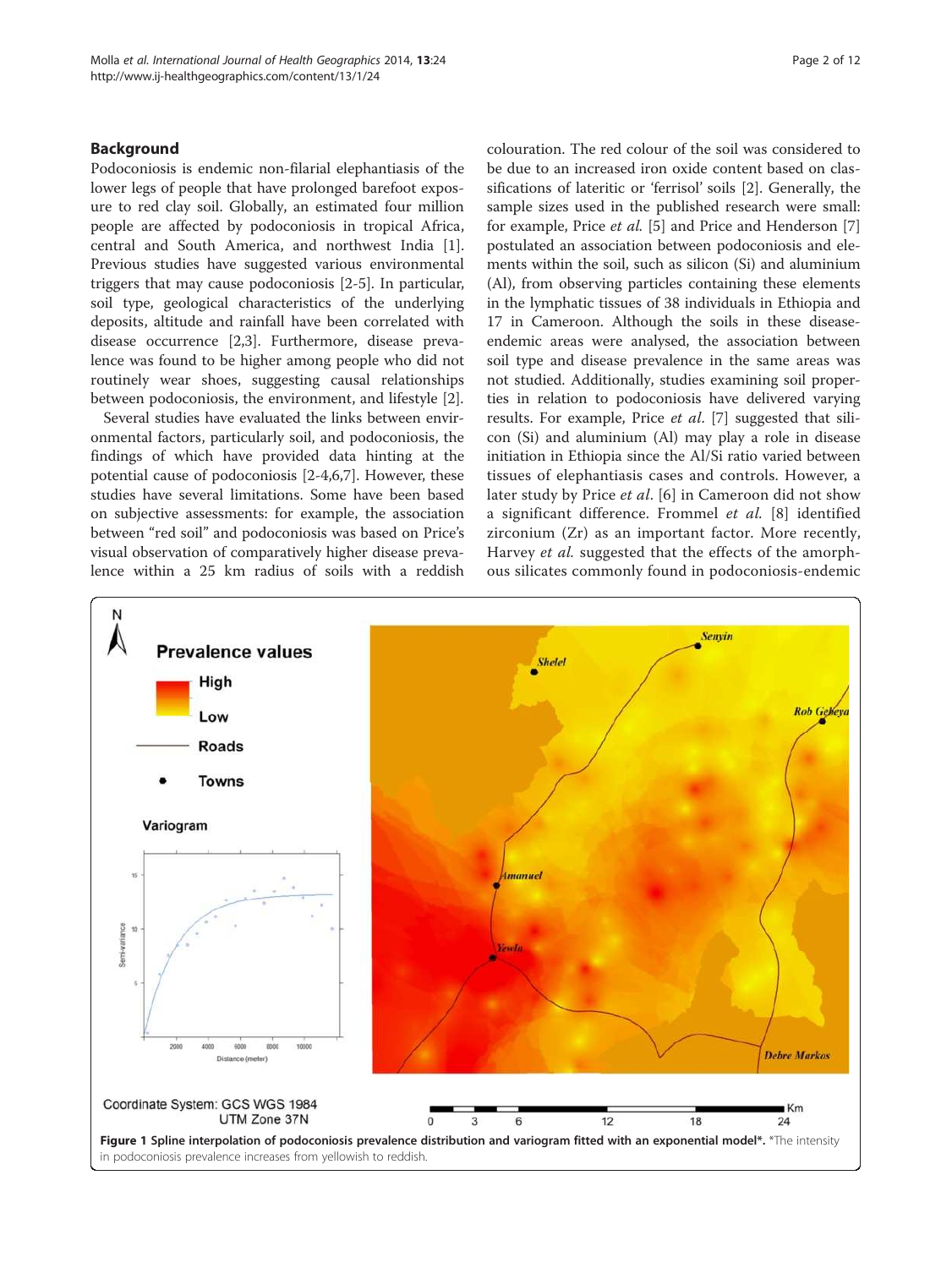#### <span id="page-2-0"></span>**Background**

Podoconiosis is endemic non-filarial elephantiasis of the lower legs of people that have prolonged barefoot exposure to red clay soil. Globally, an estimated four million people are affected by podoconiosis in tropical Africa, central and South America, and northwest India [\[1](#page-10-0)]. Previous studies have suggested various environmental triggers that may cause podoconiosis [[2-5](#page-10-0)]. In particular, soil type, geological characteristics of the underlying deposits, altitude and rainfall have been correlated with disease occurrence [\[2,3\]](#page-10-0). Furthermore, disease prevalence was found to be higher among people who did not routinely wear shoes, suggesting causal relationships between podoconiosis, the environment, and lifestyle [\[2\]](#page-10-0).

Several studies have evaluated the links between environmental factors, particularly soil, and podoconiosis, the findings of which have provided data hinting at the potential cause of podoconiosis [\[2](#page-10-0)-[4,6,7\]](#page-10-0). However, these studies have several limitations. Some have been based on subjective assessments: for example, the association between "red soil" and podoconiosis was based on Price's visual observation of comparatively higher disease prevalence within a 25 km radius of soils with a reddish colouration. The red colour of the soil was considered to be due to an increased iron oxide content based on classifications of lateritic or 'ferrisol' soils [\[2](#page-10-0)]. Generally, the sample sizes used in the published research were small: for example, Price et al. [[5\]](#page-10-0) and Price and Henderson [\[7](#page-10-0)] postulated an association between podoconiosis and elements within the soil, such as silicon (Si) and aluminium (Al), from observing particles containing these elements in the lymphatic tissues of 38 individuals in Ethiopia and 17 in Cameroon. Although the soils in these diseaseendemic areas were analysed, the association between soil type and disease prevalence in the same areas was not studied. Additionally, studies examining soil properties in relation to podoconiosis have delivered varying results. For example, Price et al. [\[7](#page-10-0)] suggested that silicon (Si) and aluminium (Al) may play a role in disease initiation in Ethiopia since the Al/Si ratio varied between tissues of elephantiasis cases and controls. However, a later study by Price et al. [[6](#page-10-0)] in Cameroon did not show a significant difference. Frommel et al. [[8\]](#page-10-0) identified zirconium (Zr) as an important factor. More recently, Harvey et al. suggested that the effects of the amorphous silicates commonly found in podoconiosis-endemic

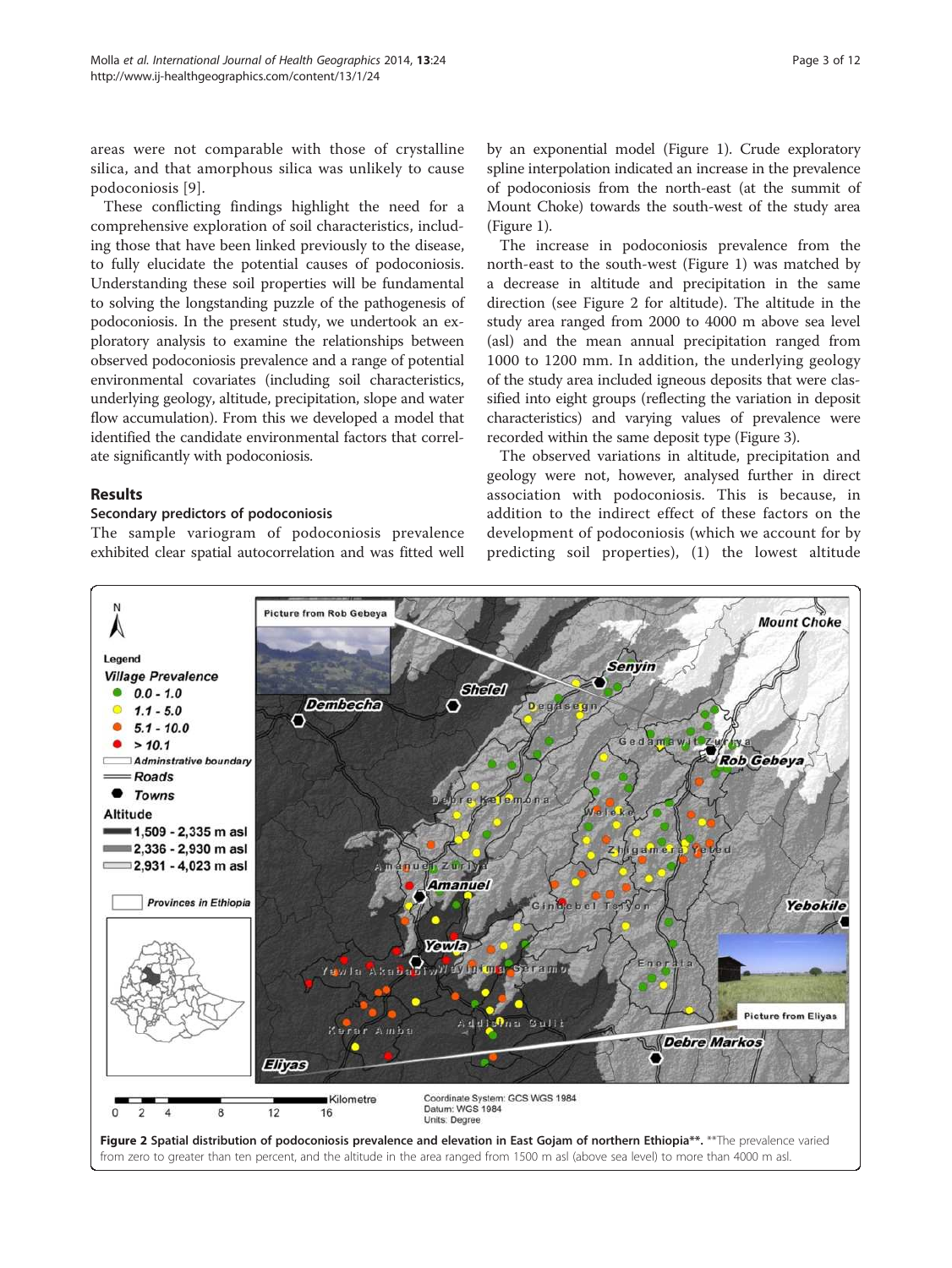<span id="page-3-0"></span>areas were not comparable with those of crystalline silica, and that amorphous silica was unlikely to cause podoconiosis [[9\]](#page-10-0).

These conflicting findings highlight the need for a comprehensive exploration of soil characteristics, including those that have been linked previously to the disease, to fully elucidate the potential causes of podoconiosis. Understanding these soil properties will be fundamental to solving the longstanding puzzle of the pathogenesis of podoconiosis. In the present study, we undertook an exploratory analysis to examine the relationships between observed podoconiosis prevalence and a range of potential environmental covariates (including soil characteristics, underlying geology, altitude, precipitation, slope and water flow accumulation). From this we developed a model that identified the candidate environmental factors that correlate significantly with podoconiosis.

#### Results

#### Secondary predictors of podoconiosis

The sample variogram of podoconiosis prevalence exhibited clear spatial autocorrelation and was fitted well by an exponential model (Figure [1](#page-1-0)). Crude exploratory spline interpolation indicated an increase in the prevalence of podoconiosis from the north-east (at the summit of Mount Choke) towards the south-west of the study area (Figure [1](#page-1-0)).

The increase in podoconiosis prevalence from the north-east to the south-west (Figure [1\)](#page-1-0) was matched by a decrease in altitude and precipitation in the same direction (see Figure [2](#page-2-0) for altitude). The altitude in the study area ranged from 2000 to 4000 m above sea level (asl) and the mean annual precipitation ranged from 1000 to 1200 mm. In addition, the underlying geology of the study area included igneous deposits that were classified into eight groups (reflecting the variation in deposit characteristics) and varying values of prevalence were recorded within the same deposit type (Figure 3).

The observed variations in altitude, precipitation and geology were not, however, analysed further in direct association with podoconiosis. This is because, in addition to the indirect effect of these factors on the development of podoconiosis (which we account for by predicting soil properties), (1) the lowest altitude

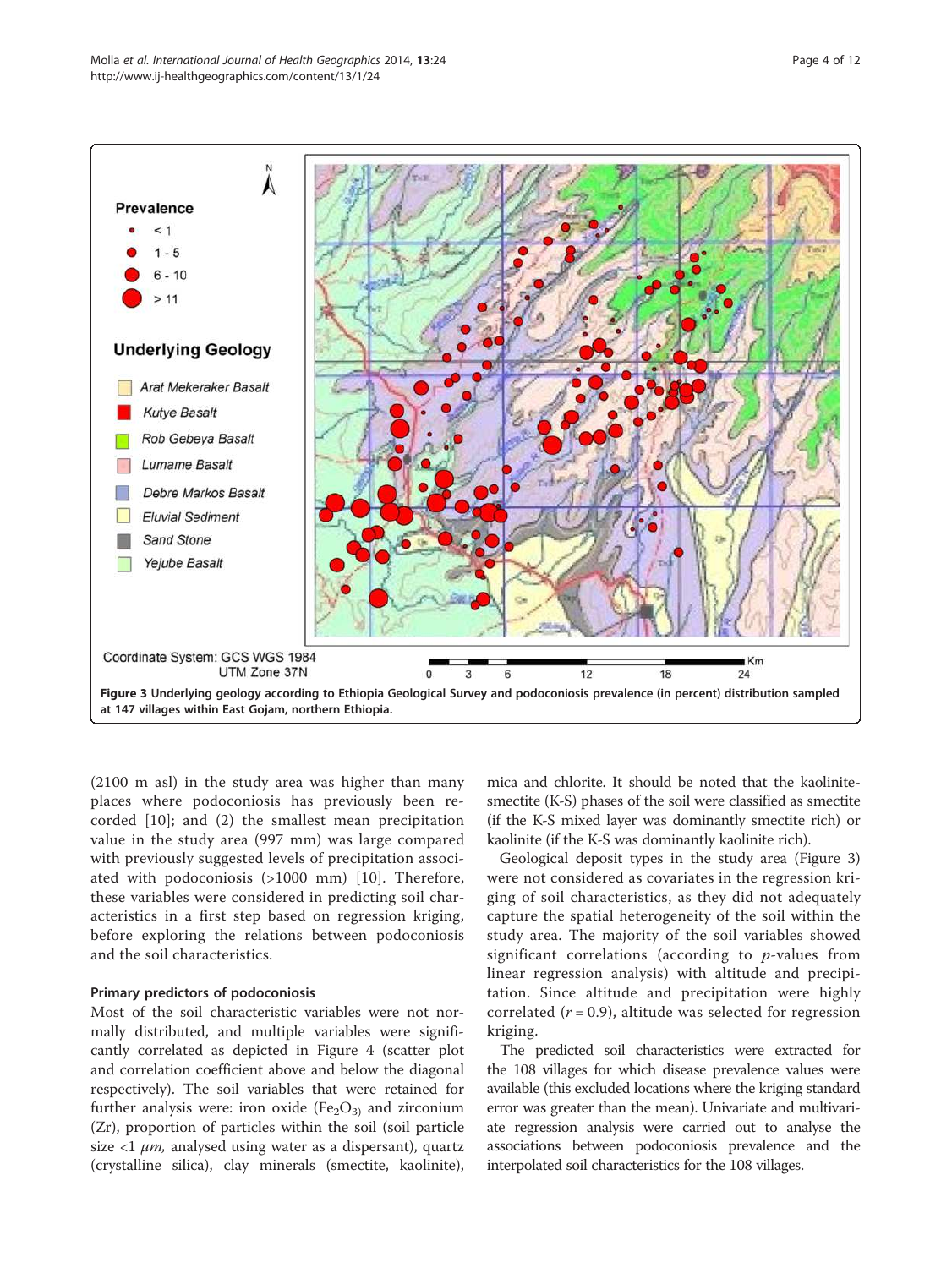<span id="page-4-0"></span>

(2100 m asl) in the study area was higher than many places where podoconiosis has previously been recorded [[10\]](#page-10-0); and (2) the smallest mean precipitation value in the study area (997 mm) was large compared with previously suggested levels of precipitation associated with podoconiosis (>1000 mm) [[10](#page-10-0)]. Therefore, these variables were considered in predicting soil characteristics in a first step based on regression kriging, before exploring the relations between podoconiosis and the soil characteristics.

#### Primary predictors of podoconiosis

Most of the soil characteristic variables were not normally distributed, and multiple variables were significantly correlated as depicted in Figure 4 (scatter plot and correlation coefficient above and below the diagonal respectively). The soil variables that were retained for further analysis were: iron oxide  $(Fe<sub>2</sub>O<sub>3</sub>)$  and zirconium (Zr), proportion of particles within the soil (soil particle size  $\langle 1 \mu m$ , analysed using water as a dispersant), quartz (crystalline silica), clay minerals (smectite, kaolinite),

mica and chlorite. It should be noted that the kaolinitesmectite (K-S) phases of the soil were classified as smectite (if the K-S mixed layer was dominantly smectite rich) or kaolinite (if the K-S was dominantly kaolinite rich).

Geological deposit types in the study area (Figure [3](#page-3-0)) were not considered as covariates in the regression kriging of soil characteristics, as they did not adequately capture the spatial heterogeneity of the soil within the study area. The majority of the soil variables showed significant correlations (according to  $p$ -values from linear regression analysis) with altitude and precipitation. Since altitude and precipitation were highly correlated  $(r = 0.9)$ , altitude was selected for regression kriging.

The predicted soil characteristics were extracted for the 108 villages for which disease prevalence values were available (this excluded locations where the kriging standard error was greater than the mean). Univariate and multivariate regression analysis were carried out to analyse the associations between podoconiosis prevalence and the interpolated soil characteristics for the 108 villages.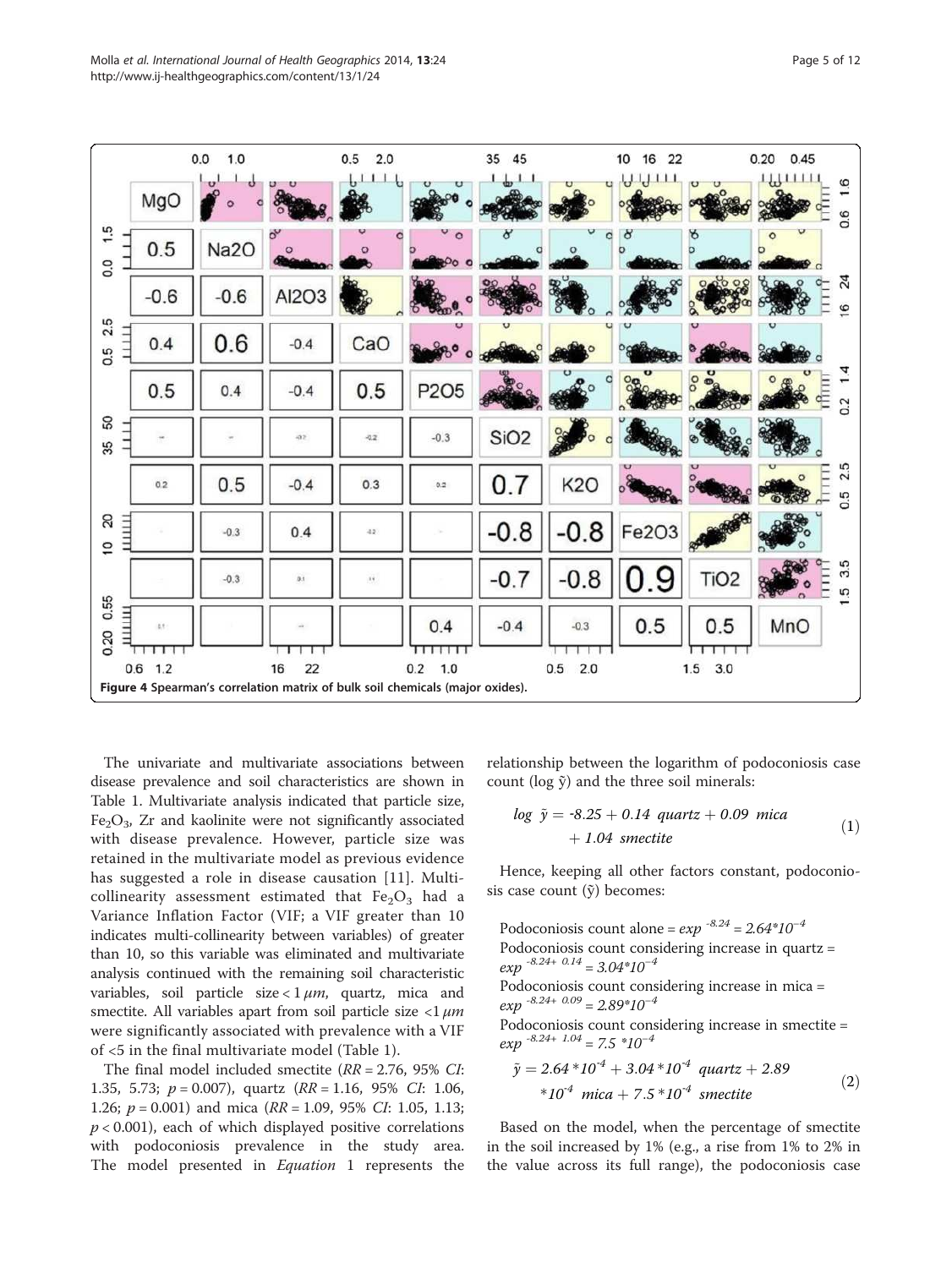<span id="page-5-0"></span>

The univariate and multivariate associations between disease prevalence and soil characteristics are shown in Table 1. Multivariate analysis indicated that particle size, Fe<sub>2</sub>O<sub>3</sub>, Zr and kaolinite were not significantly associated with disease prevalence. However, particle size was retained in the multivariate model as previous evidence has suggested a role in disease causation [[11\]](#page-10-0). Multicollinearity assessment estimated that  $Fe<sub>2</sub>O<sub>3</sub>$  had a Variance Inflation Factor (VIF; a VIF greater than 10 indicates multi-collinearity between variables) of greater than 10, so this variable was eliminated and multivariate analysis continued with the remaining soil characteristic variables, soil particle size  $< 1 \mu m$ , quartz, mica and smectite. All variables apart from soil particle size  $\langle 1 \mu m$ were significantly associated with prevalence with a VIF of <5 in the final multivariate model (Table 1).

The final model included smectite  $(RR = 2.76, 95\% \text{ CI:}$ 1.35, 5.73;  $p = 0.007$ ), quartz  $(RR = 1.16, 95\% \text{ } CI: 1.06,$ 1.26;  $p = 0.001$ ) and mica (RR = 1.09, 95% CI: 1.05, 1.13;  $p < 0.001$ ), each of which displayed positive correlations with podoconiosis prevalence in the study area. The model presented in Equation [1](#page-4-0) represents the relationship between the logarithm of podoconiosis case count ( $log \tilde{y}$ ) and the three soil minerals:

$$
log \ \tilde{y} = -8.25 + 0.14 \ quartz + 0.09 \ mica + 1.04 \ smcctite
$$
 (1)

Hence, keeping all other factors constant, podoconiosis case count (ỹ) becomes:

Podoconiosis count alone =  $exp^{-8.24}$  = 2.64\*10<sup>-4</sup> Podoconiosis count considering increase in quartz =  $exp^{-8.24+0.14} = 3.04*10^{-4}$ Podoconiosis count considering increase in mica =  $exp^{-8.24+0.09} = 2.89*10^{-4}$ Podoconiosis count considering increase in smectite =  $exp^{-8.24+1.04} = 7.5 *10^{-4}$  $\tilde{y} = 2.64 * 10^{-4} + 3.04 * 10^{-4}$  quartz + 2.89  $*10^{-4}$  mica + 7.5  $*10^{-4}$  smectite  $(2)$ 

Based on the model, when the percentage of smectite in the soil increased by 1% (e.g., a rise from 1% to 2% in the value across its full range), the podoconiosis case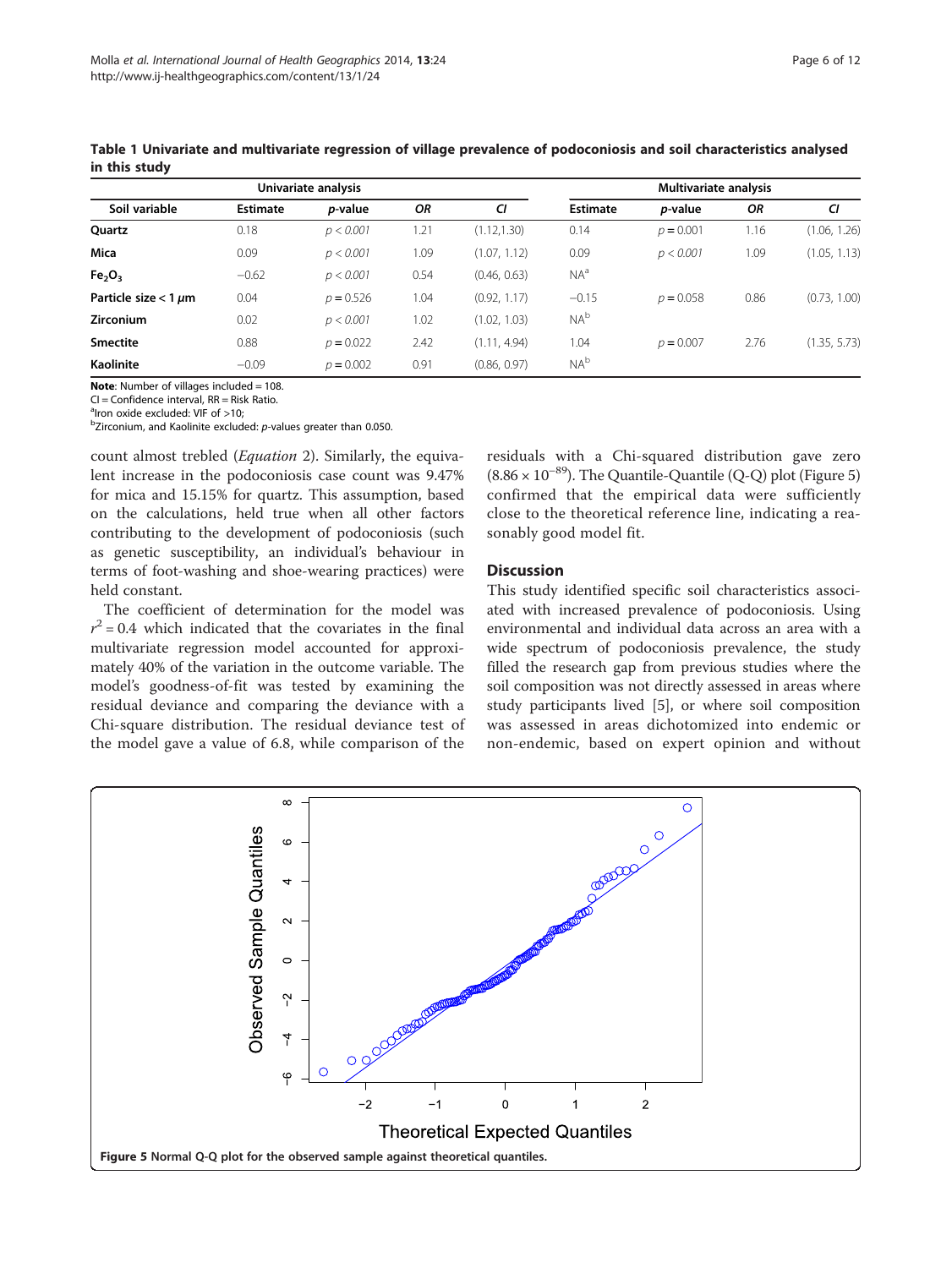| Univariate analysis            |                 |                 |      |              | Multivariate analysis |                 |      |              |
|--------------------------------|-----------------|-----------------|------|--------------|-----------------------|-----------------|------|--------------|
| Soil variable                  | <b>Estimate</b> | <i>p</i> -value | ΟR   | CI           | <b>Estimate</b>       | <i>p</i> -value | ΟR   | CI           |
| Quartz                         | 0.18            | p < 0.001       | 1.21 | (1.12, 1.30) | 0.14                  | $p = 0.001$     | 1.16 | (1.06, 1.26) |
| Mica                           | 0.09            | p < 0.001       | 1.09 | (1.07, 1.12) | 0.09                  | p < 0.001       | 1.09 | (1.05, 1.13) |
| Fe <sub>2</sub> O <sub>3</sub> | $-0.62$         | p < 0.001       | 0.54 | (0.46, 0.63) | $NA^a$                |                 |      |              |
| Particle size $<$ 1 $\mu$ m    | 0.04            | $p = 0.526$     | 1.04 | (0.92, 1.17) | $-0.15$               | $p = 0.058$     | 0.86 | (0.73, 1.00) |
| <b>Zirconium</b>               | 0.02            | p < 0.001       | 1.02 | (1.02, 1.03) | NA <sup>b</sup>       |                 |      |              |
| <b>Smectite</b>                | 0.88            | $p = 0.022$     | 2.42 | (1.11, 4.94) | 1.04                  | $p = 0.007$     | 2.76 | (1.35, 5.73) |
| Kaolinite                      | $-0.09$         | $p = 0.002$     | 0.91 | (0.86, 0.97) | NA <sup>b</sup>       |                 |      |              |

Table 1 Univariate and multivariate regression of village prevalence of podoconiosis and soil characteristics analysed in this study

Note: Number of villages included = 108.

 $Cl =$  Confidence interval,  $RR =$  Risk Ratio.

<sup>a</sup>lron oxide excluded: VIF of >10;

<sup>b</sup>Zirconium, and Kaolinite excluded: p-values greater than 0.050.

count almost trebled (Equation [2](#page-4-0)). Similarly, the equivalent increase in the podoconiosis case count was 9.47% for mica and 15.15% for quartz. This assumption, based on the calculations, held true when all other factors contributing to the development of podoconiosis (such as genetic susceptibility, an individual's behaviour in terms of foot-washing and shoe-wearing practices) were held constant.

The coefficient of determination for the model was  $r^2$  = 0.4 which indicated that the covariates in the final multivariate regression model accounted for approximately 40% of the variation in the outcome variable. The model's goodness-of-fit was tested by examining the residual deviance and comparing the deviance with a Chi-square distribution. The residual deviance test of the model gave a value of 6.8, while comparison of the

residuals with a Chi-squared distribution gave zero  $(8.86 \times 10^{-89})$ . The Quantile-Quantile (Q-Q) plot (Figure [5](#page-5-0)) confirmed that the empirical data were sufficiently close to the theoretical reference line, indicating a reasonably good model fit.

#### **Discussion**

This study identified specific soil characteristics associated with increased prevalence of podoconiosis. Using environmental and individual data across an area with a wide spectrum of podoconiosis prevalence, the study filled the research gap from previous studies where the soil composition was not directly assessed in areas where study participants lived [\[5](#page-10-0)], or where soil composition was assessed in areas dichotomized into endemic or non-endemic, based on expert opinion and without

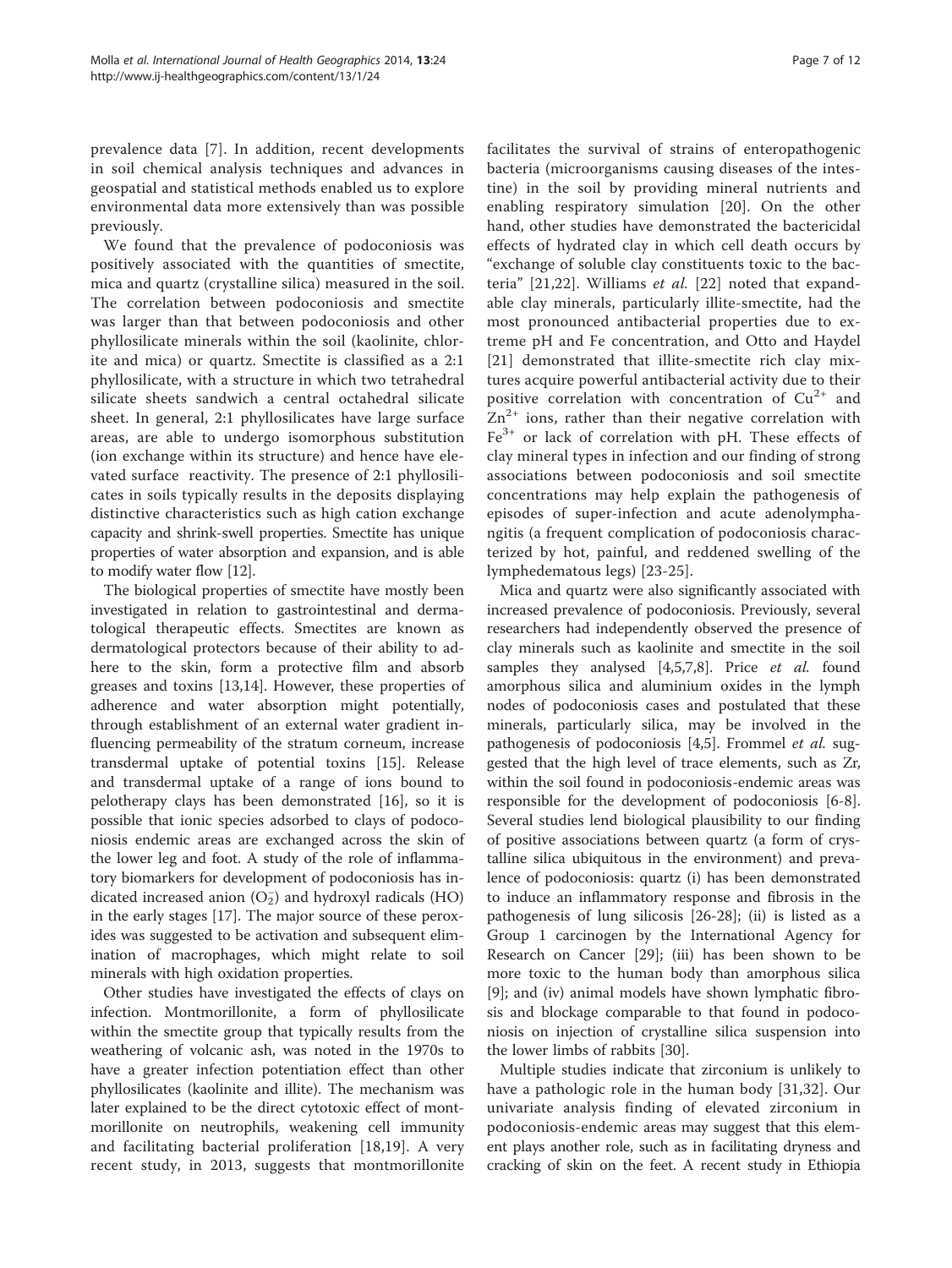prevalence data [[7\]](#page-10-0). In addition, recent developments in soil chemical analysis techniques and advances in geospatial and statistical methods enabled us to explore environmental data more extensively than was possible previously.

We found that the prevalence of podoconiosis was positively associated with the quantities of smectite, mica and quartz (crystalline silica) measured in the soil. The correlation between podoconiosis and smectite was larger than that between podoconiosis and other phyllosilicate minerals within the soil (kaolinite, chlorite and mica) or quartz. Smectite is classified as a 2:1 phyllosilicate, with a structure in which two tetrahedral silicate sheets sandwich a central octahedral silicate sheet. In general, 2:1 phyllosilicates have large surface areas, are able to undergo isomorphous substitution (ion exchange within its structure) and hence have elevated surface reactivity. The presence of 2:1 phyllosilicates in soils typically results in the deposits displaying distinctive characteristics such as high cation exchange capacity and shrink-swell properties. Smectite has unique properties of water absorption and expansion, and is able to modify water flow [\[12\]](#page-10-0).

The biological properties of smectite have mostly been investigated in relation to gastrointestinal and dermatological therapeutic effects. Smectites are known as dermatological protectors because of their ability to adhere to the skin, form a protective film and absorb greases and toxins [\[13,14\]](#page-10-0). However, these properties of adherence and water absorption might potentially, through establishment of an external water gradient influencing permeability of the stratum corneum, increase transdermal uptake of potential toxins [[15](#page-10-0)]. Release and transdermal uptake of a range of ions bound to pelotherapy clays has been demonstrated [\[16\]](#page-10-0), so it is possible that ionic species adsorbed to clays of podoconiosis endemic areas are exchanged across the skin of the lower leg and foot. A study of the role of inflammatory biomarkers for development of podoconiosis has indicated increased anion  $(O_2)$  and hydroxyl radicals (HO) in the early stages [[17\]](#page-10-0). The major source of these peroxides was suggested to be activation and subsequent elimination of macrophages, which might relate to soil minerals with high oxidation properties.

Other studies have investigated the effects of clays on infection. Montmorillonite, a form of phyllosilicate within the smectite group that typically results from the weathering of volcanic ash, was noted in the 1970s to have a greater infection potentiation effect than other phyllosilicates (kaolinite and illite). The mechanism was later explained to be the direct cytotoxic effect of montmorillonite on neutrophils, weakening cell immunity and facilitating bacterial proliferation [\[18,19\]](#page-10-0). A very recent study, in 2013, suggests that montmorillonite facilitates the survival of strains of enteropathogenic bacteria (microorganisms causing diseases of the intestine) in the soil by providing mineral nutrients and enabling respiratory simulation [[20](#page-10-0)]. On the other hand, other studies have demonstrated the bactericidal effects of hydrated clay in which cell death occurs by "exchange of soluble clay constituents toxic to the bacteria"  $[21,22]$  $[21,22]$  $[21,22]$  $[21,22]$ . Williams et al.  $[22]$  $[22]$  noted that expandable clay minerals, particularly illite-smectite, had the most pronounced antibacterial properties due to extreme pH and Fe concentration, and Otto and Haydel [[21](#page-10-0)] demonstrated that illite-smectite rich clay mixtures acquire powerful antibacterial activity due to their positive correlation with concentration of  $Cu^{2+}$  and  $Zn^{2+}$  ions, rather than their negative correlation with  $Fe<sup>3+</sup>$  or lack of correlation with pH. These effects of clay mineral types in infection and our finding of strong associations between podoconiosis and soil smectite concentrations may help explain the pathogenesis of episodes of super-infection and acute adenolymphangitis (a frequent complication of podoconiosis characterized by hot, painful, and reddened swelling of the

lymphedematous legs) [\[23-25](#page-11-0)]. Mica and quartz were also significantly associated with increased prevalence of podoconiosis. Previously, several researchers had independently observed the presence of clay minerals such as kaolinite and smectite in the soil samples they analysed  $[4,5,7,8]$  $[4,5,7,8]$ . Price *et al.* found amorphous silica and aluminium oxides in the lymph nodes of podoconiosis cases and postulated that these minerals, particularly silica, may be involved in the pathogenesis of podoconiosis [\[4,5](#page-10-0)]. Frommel et al. suggested that the high level of trace elements, such as Zr, within the soil found in podoconiosis-endemic areas was responsible for the development of podoconiosis [[6-8](#page-10-0)]. Several studies lend biological plausibility to our finding of positive associations between quartz (a form of crystalline silica ubiquitous in the environment) and prevalence of podoconiosis: quartz (i) has been demonstrated to induce an inflammatory response and fibrosis in the pathogenesis of lung silicosis [\[26](#page-11-0)-[28](#page-11-0)]; (ii) is listed as a Group 1 carcinogen by the International Agency for Research on Cancer [[29\]](#page-11-0); (iii) has been shown to be more toxic to the human body than amorphous silica [[9\]](#page-10-0); and (iv) animal models have shown lymphatic fibrosis and blockage comparable to that found in podoconiosis on injection of crystalline silica suspension into the lower limbs of rabbits [\[30\]](#page-11-0).

Multiple studies indicate that zirconium is unlikely to have a pathologic role in the human body [\[31](#page-11-0),[32\]](#page-11-0). Our univariate analysis finding of elevated zirconium in podoconiosis-endemic areas may suggest that this element plays another role, such as in facilitating dryness and cracking of skin on the feet. A recent study in Ethiopia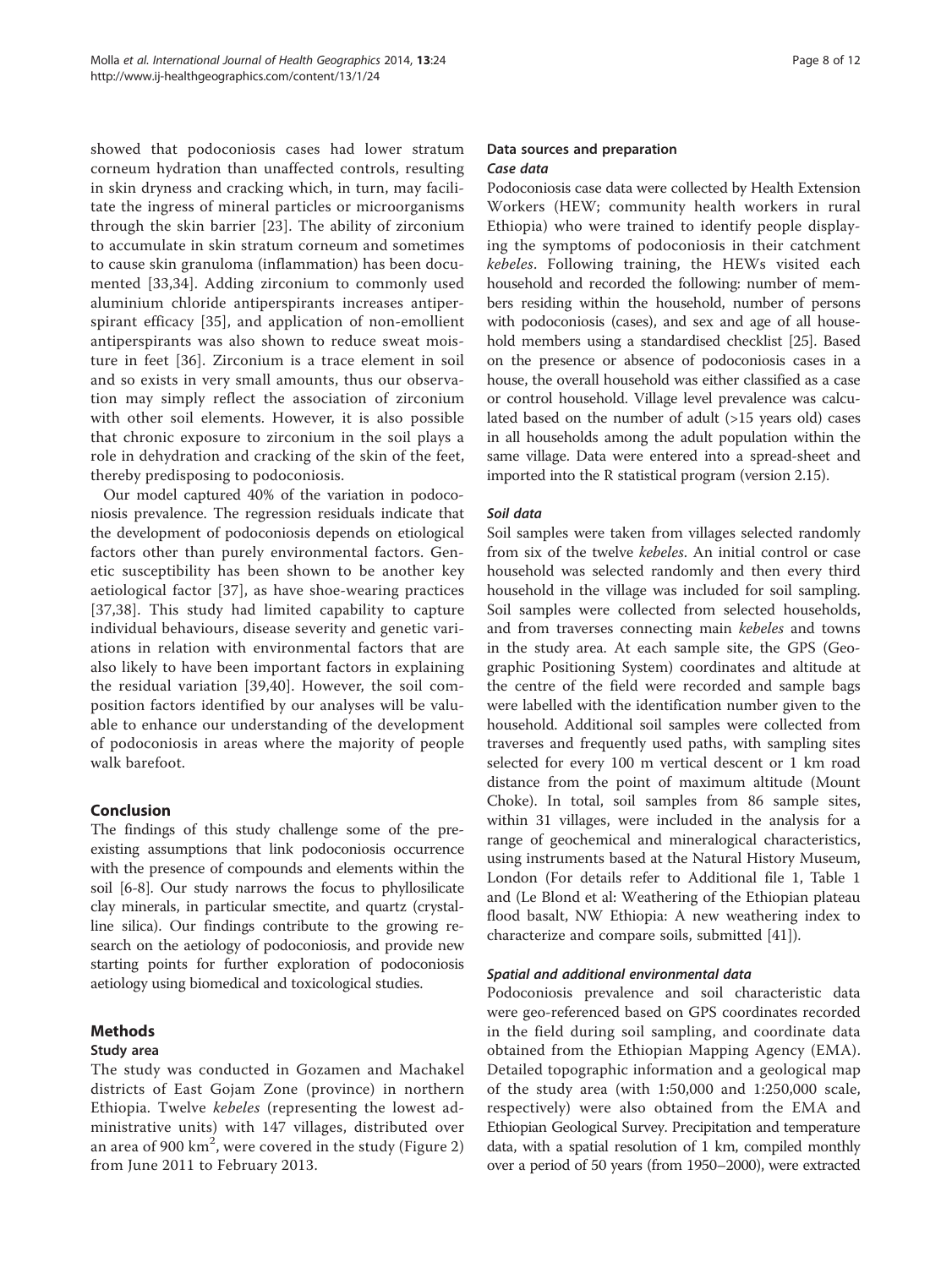showed that podoconiosis cases had lower stratum corneum hydration than unaffected controls, resulting in skin dryness and cracking which, in turn, may facilitate the ingress of mineral particles or microorganisms through the skin barrier [\[23](#page-11-0)]. The ability of zirconium to accumulate in skin stratum corneum and sometimes to cause skin granuloma (inflammation) has been documented [[33,34](#page-11-0)]. Adding zirconium to commonly used aluminium chloride antiperspirants increases antiperspirant efficacy [[35\]](#page-11-0), and application of non-emollient antiperspirants was also shown to reduce sweat moisture in feet [[36](#page-11-0)]. Zirconium is a trace element in soil and so exists in very small amounts, thus our observation may simply reflect the association of zirconium with other soil elements. However, it is also possible that chronic exposure to zirconium in the soil plays a role in dehydration and cracking of the skin of the feet, thereby predisposing to podoconiosis.

Our model captured 40% of the variation in podoconiosis prevalence. The regression residuals indicate that the development of podoconiosis depends on etiological factors other than purely environmental factors. Genetic susceptibility has been shown to be another key aetiological factor [\[37\]](#page-11-0), as have shoe-wearing practices [[37,38\]](#page-11-0). This study had limited capability to capture individual behaviours, disease severity and genetic variations in relation with environmental factors that are also likely to have been important factors in explaining the residual variation [\[39,40\]](#page-11-0). However, the soil composition factors identified by our analyses will be valuable to enhance our understanding of the development of podoconiosis in areas where the majority of people walk barefoot.

## Conclusion

The findings of this study challenge some of the preexisting assumptions that link podoconiosis occurrence with the presence of compounds and elements within the soil [[6-8](#page-10-0)]. Our study narrows the focus to phyllosilicate clay minerals, in particular smectite, and quartz (crystalline silica). Our findings contribute to the growing research on the aetiology of podoconiosis, and provide new starting points for further exploration of podoconiosis aetiology using biomedical and toxicological studies.

# Methods

## Study area

The study was conducted in Gozamen and Machakel districts of East Gojam Zone (province) in northern Ethiopia. Twelve kebeles (representing the lowest administrative units) with 147 villages, distributed over an area of 900 km $^2$ , were covered in the study (Figure [2](#page-2-0)) from June 2011 to February 2013.

#### Data sources and preparation Case data

Podoconiosis case data were collected by Health Extension Workers (HEW; community health workers in rural Ethiopia) who were trained to identify people displaying the symptoms of podoconiosis in their catchment kebeles. Following training, the HEWs visited each household and recorded the following: number of members residing within the household, number of persons with podoconiosis (cases), and sex and age of all household members using a standardised checklist [[25](#page-11-0)]. Based on the presence or absence of podoconiosis cases in a house, the overall household was either classified as a case or control household. Village level prevalence was calculated based on the number of adult (>15 years old) cases in all households among the adult population within the same village. Data were entered into a spread-sheet and imported into the R statistical program (version 2.15).

## Soil data

Soil samples were taken from villages selected randomly from six of the twelve kebeles. An initial control or case household was selected randomly and then every third household in the village was included for soil sampling. Soil samples were collected from selected households, and from traverses connecting main kebeles and towns in the study area. At each sample site, the GPS (Geographic Positioning System) coordinates and altitude at the centre of the field were recorded and sample bags were labelled with the identification number given to the household. Additional soil samples were collected from traverses and frequently used paths, with sampling sites selected for every 100 m vertical descent or 1 km road distance from the point of maximum altitude (Mount Choke). In total, soil samples from 86 sample sites, within 31 villages, were included in the analysis for a range of geochemical and mineralogical characteristics, using instruments based at the Natural History Museum, London (For details refer to Additional file [1](#page-10-0), Table [1](#page-5-0) and (Le Blond et al: Weathering of the Ethiopian plateau flood basalt, NW Ethiopia: A new weathering index to characterize and compare soils, submitted [\[41\]](#page-11-0)).

## Spatial and additional environmental data

Podoconiosis prevalence and soil characteristic data were geo-referenced based on GPS coordinates recorded in the field during soil sampling, and coordinate data obtained from the Ethiopian Mapping Agency (EMA). Detailed topographic information and a geological map of the study area (with 1:50,000 and 1:250,000 scale, respectively) were also obtained from the EMA and Ethiopian Geological Survey. Precipitation and temperature data, with a spatial resolution of 1 km, compiled monthly over a period of 50 years (from 1950–2000), were extracted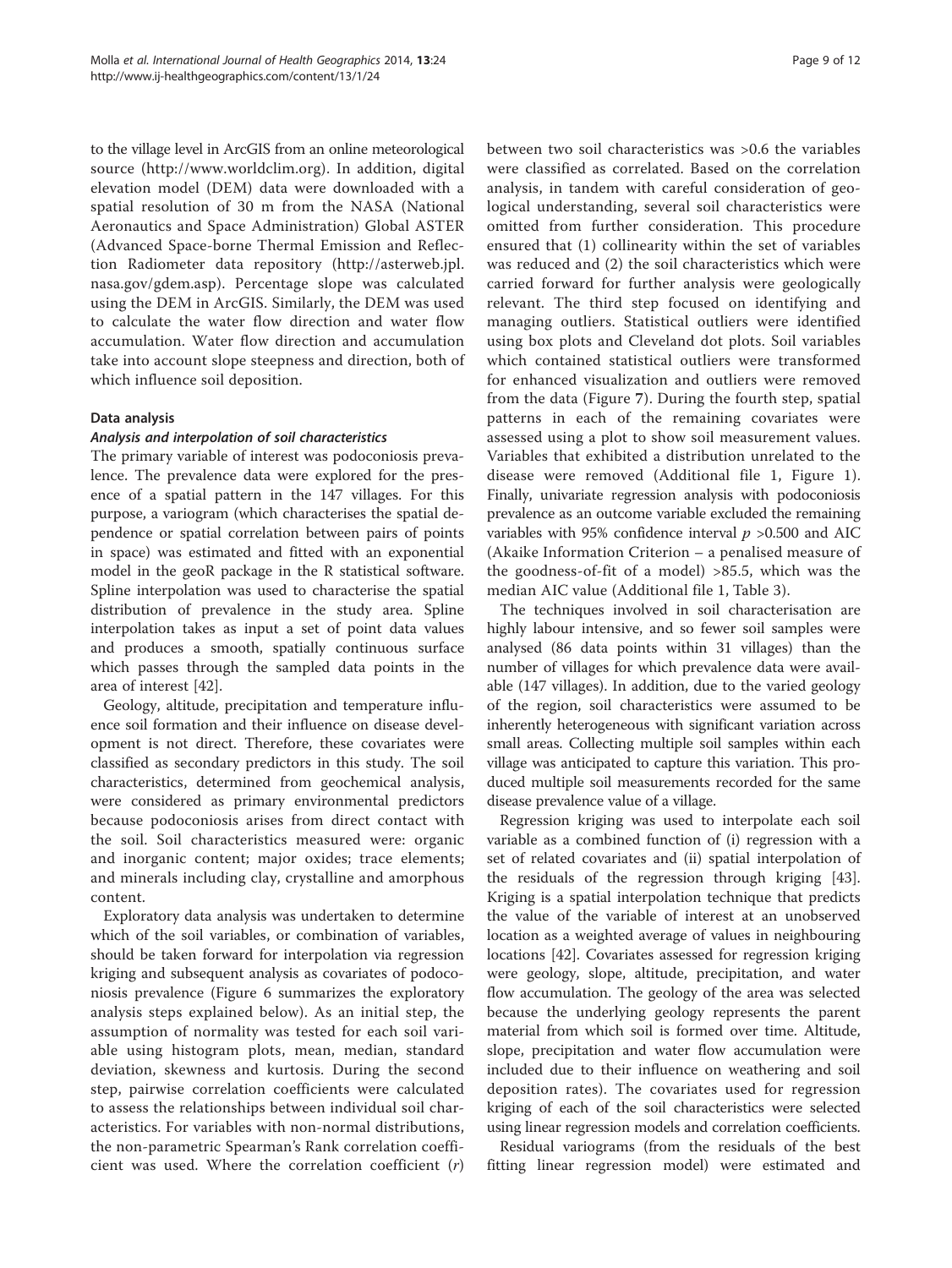to the village level in ArcGIS from an online meteorological source ([http://www.worldclim.org\)](http://www.worldclim.org). In addition, digital elevation model (DEM) data were downloaded with a spatial resolution of 30 m from the NASA (National Aeronautics and Space Administration) Global ASTER (Advanced Space-borne Thermal Emission and Reflection Radiometer data repository ([http://asterweb.jpl.](http://asterweb.jpl.nasa.gov/gdem.asp) [nasa.gov/gdem.asp\)](http://asterweb.jpl.nasa.gov/gdem.asp). Percentage slope was calculated using the DEM in ArcGIS. Similarly, the DEM was used to calculate the water flow direction and water flow accumulation. Water flow direction and accumulation take into account slope steepness and direction, both of which influence soil deposition.

#### Data analysis

#### Analysis and interpolation of soil characteristics

The primary variable of interest was podoconiosis prevalence. The prevalence data were explored for the presence of a spatial pattern in the 147 villages. For this purpose, a variogram (which characterises the spatial dependence or spatial correlation between pairs of points in space) was estimated and fitted with an exponential model in the geoR package in the R statistical software. Spline interpolation was used to characterise the spatial distribution of prevalence in the study area. Spline interpolation takes as input a set of point data values and produces a smooth, spatially continuous surface which passes through the sampled data points in the area of interest [\[42\]](#page-11-0).

Geology, altitude, precipitation and temperature influence soil formation and their influence on disease development is not direct. Therefore, these covariates were classified as secondary predictors in this study. The soil characteristics, determined from geochemical analysis, were considered as primary environmental predictors because podoconiosis arises from direct contact with the soil. Soil characteristics measured were: organic and inorganic content; major oxides; trace elements; and minerals including clay, crystalline and amorphous content.

Exploratory data analysis was undertaken to determine which of the soil variables, or combination of variables, should be taken forward for interpolation via regression kriging and subsequent analysis as covariates of podoconiosis prevalence (Figure 6 summarizes the exploratory analysis steps explained below). As an initial step, the assumption of normality was tested for each soil variable using histogram plots, mean, median, standard deviation, skewness and kurtosis. During the second step, pairwise correlation coefficients were calculated to assess the relationships between individual soil characteristics. For variables with non-normal distributions, the non-parametric Spearman's Rank correlation coefficient was used. Where the correlation coefficient  $(r)$  between two soil characteristics was >0.6 the variables were classified as correlated. Based on the correlation analysis, in tandem with careful consideration of geological understanding, several soil characteristics were omitted from further consideration. This procedure ensured that (1) collinearity within the set of variables was reduced and (2) the soil characteristics which were carried forward for further analysis were geologically relevant. The third step focused on identifying and managing outliers. Statistical outliers were identified using box plots and Cleveland dot plots. Soil variables which contained statistical outliers were transformed for enhanced visualization and outliers were removed from the data (Figure 7). During the fourth step, spatial patterns in each of the remaining covariates were assessed using a plot to show soil measurement values. Variables that exhibited a distribution unrelated to the disease were removed (Additional file [1,](#page-10-0) Figure [1](#page-1-0)). Finally, univariate regression analysis with podoconiosis prevalence as an outcome variable excluded the remaining variables with 95% confidence interval  $p > 0.500$  and AIC (Akaike Information Criterion – a penalised measure of the goodness-of-fit of a model) >85.5, which was the median AIC value (Additional file [1](#page-10-0), Table 3).

The techniques involved in soil characterisation are highly labour intensive, and so fewer soil samples were analysed (86 data points within 31 villages) than the number of villages for which prevalence data were available (147 villages). In addition, due to the varied geology of the region, soil characteristics were assumed to be inherently heterogeneous with significant variation across small areas. Collecting multiple soil samples within each village was anticipated to capture this variation. This produced multiple soil measurements recorded for the same disease prevalence value of a village.

Regression kriging was used to interpolate each soil variable as a combined function of (i) regression with a set of related covariates and (ii) spatial interpolation of the residuals of the regression through kriging [\[43](#page-11-0)]. Kriging is a spatial interpolation technique that predicts the value of the variable of interest at an unobserved location as a weighted average of values in neighbouring locations [[42\]](#page-11-0). Covariates assessed for regression kriging were geology, slope, altitude, precipitation, and water flow accumulation. The geology of the area was selected because the underlying geology represents the parent material from which soil is formed over time. Altitude, slope, precipitation and water flow accumulation were included due to their influence on weathering and soil deposition rates). The covariates used for regression kriging of each of the soil characteristics were selected using linear regression models and correlation coefficients.

Residual variograms (from the residuals of the best fitting linear regression model) were estimated and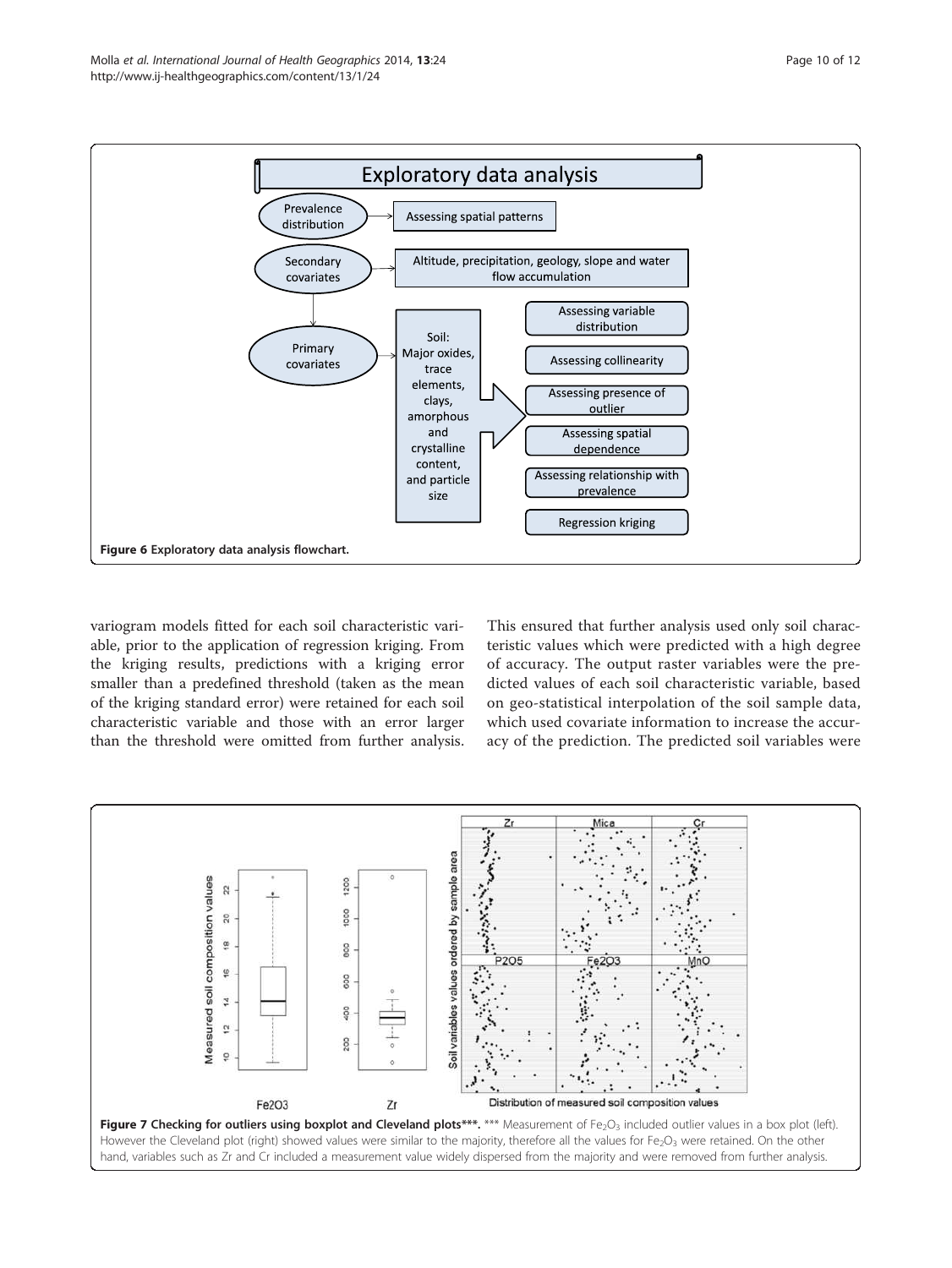<span id="page-10-0"></span>

Figure 6 Exploratory data analysis flowchart.

variogram models fitted for each soil characteristic variable, prior to the application of regression kriging. From the kriging results, predictions with a kriging error smaller than a predefined threshold (taken as the mean of the kriging standard error) were retained for each soil characteristic variable and those with an error larger than the threshold were omitted from further analysis.

This ensured that further analysis used only soil characteristic values which were predicted with a high degree of accuracy. The output raster variables were the predicted values of each soil characteristic variable, based on geo-statistical interpolation of the soil sample data, which used covariate information to increase the accuracy of the prediction. The predicted soil variables were

Regression kriging

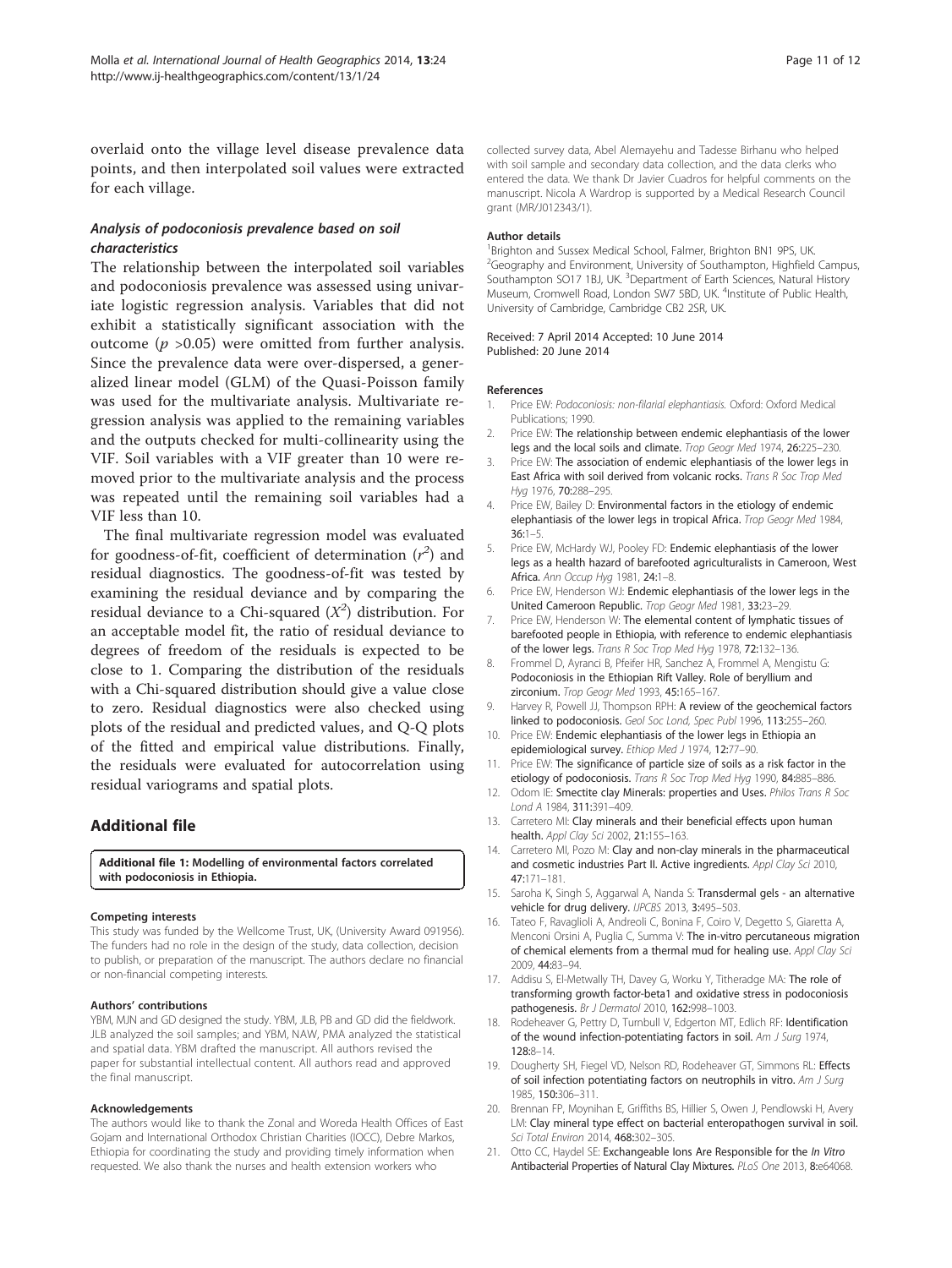<span id="page-11-0"></span>overlaid onto the village level disease prevalence data points, and then interpolated soil values were extracted for each village.

## Analysis of podoconiosis prevalence based on soil characteristics

The relationship between the interpolated soil variables and podoconiosis prevalence was assessed using univariate logistic regression analysis. Variables that did not exhibit a statistically significant association with the outcome  $(p > 0.05)$  were omitted from further analysis. Since the prevalence data were over-dispersed, a generalized linear model (GLM) of the Quasi-Poisson family was used for the multivariate analysis. Multivariate regression analysis was applied to the remaining variables and the outputs checked for multi-collinearity using the VIF. Soil variables with a VIF greater than 10 were removed prior to the multivariate analysis and the process was repeated until the remaining soil variables had a VIF less than 10.

The final multivariate regression model was evaluated for goodness-of-fit, coefficient of determination  $(r^2)$  and residual diagnostics. The goodness-of-fit was tested by examining the residual deviance and by comparing the residual deviance to a Chi-squared  $(X^2)$  distribution. For an acceptable model fit, the ratio of residual deviance to degrees of freedom of the residuals is expected to be close to 1. Comparing the distribution of the residuals with a Chi-squared distribution should give a value close to zero. Residual diagnostics were also checked using plots of the residual and predicted values, and Q-Q plots of the fitted and empirical value distributions. Finally, the residuals were evaluated for autocorrelation using residual variograms and spatial plots.

## Additional file

[Additional file 1:](http://www.biomedcentral.com/content/supplementary/1476-072X-13-24-S1.docx) Modelling of environmental factors correlated with podoconiosis in Ethiopia.

#### Competing interests

This study was funded by the Wellcome Trust, UK, (University Award 091956). The funders had no role in the design of the study, data collection, decision to publish, or preparation of the manuscript. The authors declare no financial or non-financial competing interests.

#### Authors' contributions

YBM, MJN and GD designed the study. YBM, JLB, PB and GD did the fieldwork. JLB analyzed the soil samples; and YBM, NAW, PMA analyzed the statistical and spatial data. YBM drafted the manuscript. All authors revised the paper for substantial intellectual content. All authors read and approved the final manuscript.

#### Acknowledgements

The authors would like to thank the Zonal and Woreda Health Offices of East Gojam and International Orthodox Christian Charities (IOCC), Debre Markos, Ethiopia for coordinating the study and providing timely information when requested. We also thank the nurses and health extension workers who

collected survey data, Abel Alemayehu and Tadesse Birhanu who helped with soil sample and secondary data collection, and the data clerks who entered the data. We thank Dr Javier Cuadros for helpful comments on the manuscript. Nicola A Wardrop is supported by a Medical Research Council grant (MR/J012343/1).

#### Author details

<sup>1</sup> Brighton and Sussex Medical School, Falmer, Brighton BN1 9PS, UK <sup>2</sup>Geography and Environment, University of Southampton, Highfield Campus, Southampton SO17 1BJ, UK. <sup>3</sup>Department of Farth Sciences, Natural History Museum, Cromwell Road, London SW7 5BD, UK. <sup>4</sup>Institute of Public Health, University of Cambridge, Cambridge CB2 2SR, UK.

#### Received: 7 April 2014 Accepted: 10 June 2014 Published: 20 June 2014

#### References

- 1. Price EW: *Podoconiosis: non-filarial elephantiasis.* Oxford: Oxford Medical Publications; 1990.
- 2. Price EW: The relationship between endemic elephantiasis of the lower legs and the local soils and climate. *Trop Geogr Med* 1974, 26:225–230.
- 3. Price EW: The association of endemic elephantiasis of the lower legs in East Africa with soil derived from volcanic rocks. *Trans R Soc Trop Med Hyg* 1976, 70:288–295.
- 4. Price EW, Bailey D: Environmental factors in the etiology of endemic elephantiasis of the lower legs in tropical Africa. *Trop Geogr Med* 1984,  $36:1-5$
- Price EW, McHardy WJ, Pooley FD: Endemic elephantiasis of the lower legs as a health hazard of barefooted agriculturalists in Cameroon, West Africa. *Ann Occup Hyg* 1981, 24:1–8.
- 6. Price EW, Henderson WJ: Endemic elephantiasis of the lower legs in the United Cameroon Republic. *Trop Geogr Med* 1981, 33:23–29.
- 7. Price EW, Henderson W: The elemental content of lymphatic tissues of barefooted people in Ethiopia, with reference to endemic elephantiasis of the lower legs. *Trans R Soc Trop Med Hyg* 1978, 72:132–136.
- 8. Frommel D, Ayranci B, Pfeifer HR, Sanchez A, Frommel A, Mengistu G: Podoconiosis in the Ethiopian Rift Valley. Role of beryllium and zirconium. *Trop Geogr Med* 1993, 45:165–167.
- 9. Harvey R, Powell JJ, Thompson RPH: A review of the geochemical factors linked to podoconiosis. *Geol Soc Lond, Spec Publ* 1996, 113:255–260.
- 10. Price EW: Endemic elephantiasis of the lower legs in Ethiopia an epidemiological survey. *Ethiop Med J* 1974, 12:77–90.
- 11. Price EW: The significance of particle size of soils as a risk factor in the etiology of podoconiosis. *Trans R Soc Trop Med Hyg* 1990, 84:885–886.
- 12. Odom IE: Smectite clay Minerals: properties and Uses. *Philos Trans R Soc Lond A* 1984, 311:391–409.
- 13. Carretero MI: Clay minerals and their beneficial effects upon human health. *Appl Clay Sci* 2002, 21:155–163.
- 14. Carretero MI, Pozo M: Clay and non-clay minerals in the pharmaceutical and cosmetic industries Part II. Active ingredients. *Appl Clay Sci* 2010, 47:171–181.
- 15. Saroha K, Singh S, Aggarwal A, Nanda S: Transdermal gels an alternative vehicle for drug delivery. *IJPCBS* 2013, 3:495–503.
- 16. Tateo F, Ravaglioli A, Andreoli C, Bonina F, Coiro V, Degetto S, Giaretta A, Menconi Orsini A, Puglia C, Summa V: The in-vitro percutaneous migration of chemical elements from a thermal mud for healing use. *Appl Clay Sci* 2009, 44:83–94.
- 17. Addisu S, El-Metwally TH, Davey G, Worku Y, Titheradge MA: The role of transforming growth factor-beta1 and oxidative stress in podoconiosis pathogenesis. *Br J Dermatol* 2010, 162:998–1003.
- 18. Rodeheaver G, Pettry D, Turnbull V, Edgerton MT, Edlich RF: Identification of the wound infection-potentiating factors in soil. *Am J Surg* 1974, 128:8–14.
- 19. Dougherty SH, Fiegel VD, Nelson RD, Rodeheaver GT, Simmons RL: Effects of soil infection potentiating factors on neutrophils in vitro. *Am J Surg* 1985, 150:306–311.
- 20. Brennan FP, Moynihan E, Griffiths BS, Hillier S, Owen J, Pendlowski H, Avery LM: Clay mineral type effect on bacterial enteropathogen survival in soil. *Sci Total Environ* 2014, 468:302–305.
- 21. Otto CC, Haydel SE: Exchangeable Ions Are Responsible for the In Vitro Antibacterial Properties of Natural Clay Mixtures. *PLoS One* 2013, 8:e64068.